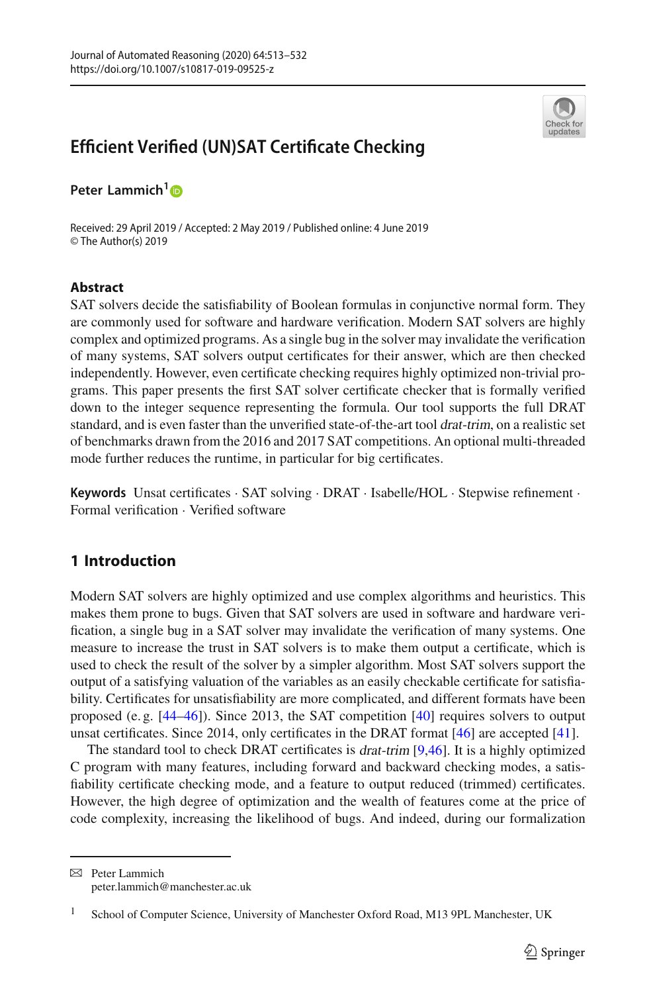

# **Efficient Verified (UN)SAT Certificate Checking**

**Peter Lammich[1](http://orcid.org/0000-0003-3576-0504)**

Received: 29 April 2019 / Accepted: 2 May 2019 / Published online: 4 June 2019 © The Author(s) 2019

### **Abstract**

SAT solvers decide the satisfiability of Boolean formulas in conjunctive normal form. They are commonly used for software and hardware verification. Modern SAT solvers are highly complex and optimized programs. As a single bug in the solver may invalidate the verification of many systems, SAT solvers output certificates for their answer, which are then checked independently. However, even certificate checking requires highly optimized non-trivial programs. This paper presents the first SAT solver certificate checker that is formally verified down to the integer sequence representing the formula. Our tool supports the full DRAT standard, and is even faster than the unverified state-of-the-art tool drat-trim, on a realistic set of benchmarks drawn from the 2016 and 2017 SAT competitions. An optional multi-threaded mode further reduces the runtime, in particular for big certificates.

**Keywords** Unsat certificates · SAT solving · DRAT · Isabelle/HOL · Stepwise refinement · Formal verification · Verified software

# **1 Introduction**

Modern SAT solvers are highly optimized and use complex algorithms and heuristics. This makes them prone to bugs. Given that SAT solvers are used in software and hardware verification, a single bug in a SAT solver may invalidate the verification of many systems. One measure to increase the trust in SAT solvers is to make them output a certificate, which is used to check the result of the solver by a simpler algorithm. Most SAT solvers support the output of a satisfying valuation of the variables as an easily checkable certificate for satisfiability. Certificates for unsatisfiability are more complicated, and different formats have been proposed (e.g.  $[44–46]$  $[44–46]$ ). Since 2013, the SAT competition  $[40]$  requires solvers to output unsat certificates. Since 2014, only certificates in the DRAT format [\[46\]](#page-19-1) are accepted [\[41](#page-19-3)].

The standard tool to check DRAT certificates is drat-trim [\[9](#page-18-0)[,46\]](#page-19-1). It is a highly optimized C program with many features, including forward and backward checking modes, a satisfiability certificate checking mode, and a feature to output reduced (trimmed) certificates. However, the high degree of optimization and the wealth of features come at the price of code complexity, increasing the likelihood of bugs. And indeed, during our formalization

B Peter Lammich peter.lammich@manchester.ac.uk

<sup>&</sup>lt;sup>1</sup> School of Computer Science, University of Manchester Oxford Road, M13 9PL Manchester, UK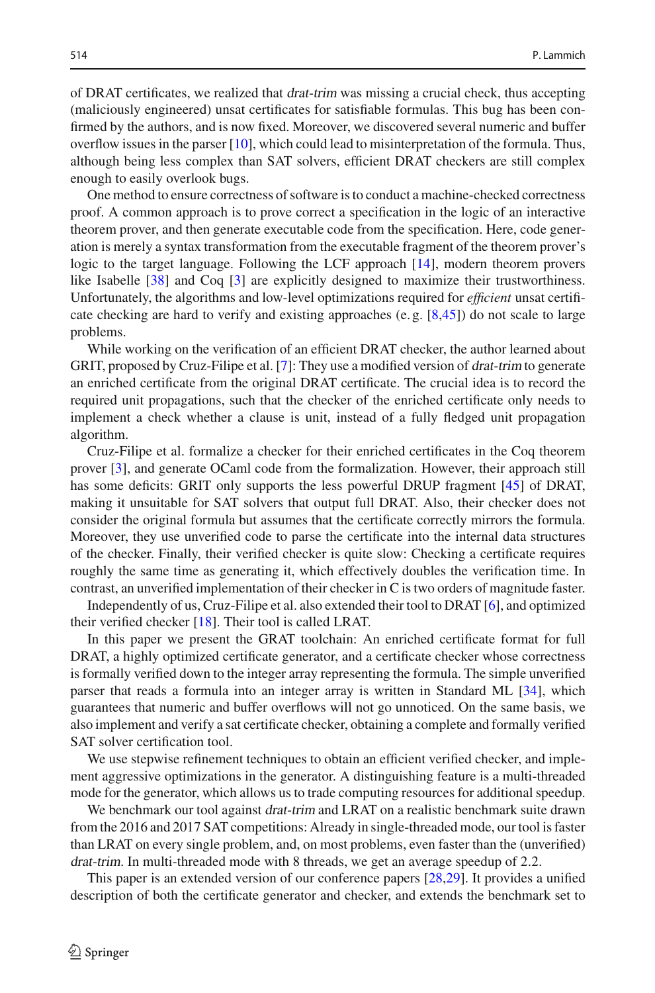of DRAT certificates, we realized that drat-trim was missing a crucial check, thus accepting (maliciously engineered) unsat certificates for satisfiable formulas. This bug has been confirmed by the authors, and is now fixed. Moreover, we discovered several numeric and buffer overflow issues in the parser [\[10](#page-18-1)], which could lead to misinterpretation of the formula. Thus, although being less complex than SAT solvers, efficient DRAT checkers are still complex enough to easily overlook bugs.

One method to ensure correctness of software is to conduct a machine-checked correctness proof. A common approach is to prove correct a specification in the logic of an interactive theorem prover, and then generate executable code from the specification. Here, code generation is merely a syntax transformation from the executable fragment of the theorem prover's logic to the target language. Following the LCF approach [\[14](#page-18-2)], modern theorem provers like Isabelle [\[38\]](#page-19-4) and Coq [\[3\]](#page-18-3) are explicitly designed to maximize their trustworthiness. Unfortunately, the algorithms and low-level optimizations required for *efficient* unsat certificate checking are hard to verify and existing approaches (e. g. [\[8](#page-18-4)[,45](#page-19-5)]) do not scale to large problems.

While working on the verification of an efficient DRAT checker, the author learned about GRIT, proposed by Cruz-Filipe et al. [\[7](#page-18-5)]: They use a modified version of drat-trim to generate an enriched certificate from the original DRAT certificate. The crucial idea is to record the required unit propagations, such that the checker of the enriched certificate only needs to implement a check whether a clause is unit, instead of a fully fledged unit propagation algorithm.

Cruz-Filipe et al. formalize a checker for their enriched certificates in the Coq theorem prover [\[3](#page-18-3)], and generate OCaml code from the formalization. However, their approach still has some deficits: GRIT only supports the less powerful DRUP fragment [\[45\]](#page-19-5) of DRAT, making it unsuitable for SAT solvers that output full DRAT. Also, their checker does not consider the original formula but assumes that the certificate correctly mirrors the formula. Moreover, they use unverified code to parse the certificate into the internal data structures of the checker. Finally, their verified checker is quite slow: Checking a certificate requires roughly the same time as generating it, which effectively doubles the verification time. In contrast, an unverified implementation of their checker in C is two orders of magnitude faster.

Independently of us, Cruz-Filipe et al. also extended their tool to DRAT [\[6\]](#page-18-6), and optimized their verified checker [\[18](#page-18-7)]. Their tool is called LRAT.

In this paper we present the GRAT toolchain: An enriched certificate format for full DRAT, a highly optimized certificate generator, and a certificate checker whose correctness is formally verified down to the integer array representing the formula. The simple unverified parser that reads a formula into an integer array is written in Standard ML [\[34\]](#page-19-6), which guarantees that numeric and buffer overflows will not go unnoticed. On the same basis, we also implement and verify a sat certificate checker, obtaining a complete and formally verified SAT solver certification tool.

We use stepwise refinement techniques to obtain an efficient verified checker, and implement aggressive optimizations in the generator. A distinguishing feature is a multi-threaded mode for the generator, which allows us to trade computing resources for additional speedup.

We benchmark our tool against drat-trim and LRAT on a realistic benchmark suite drawn from the 2016 and 2017 SAT competitions: Already in single-threaded mode, our tool is faster than LRAT on every single problem, and, on most problems, even faster than the (unverified) drat-trim. In multi-threaded mode with 8 threads, we get an average speedup of 2.2.

This paper is an extended version of our conference papers [\[28](#page-18-8)[,29\]](#page-18-9). It provides a unified description of both the certificate generator and checker, and extends the benchmark set to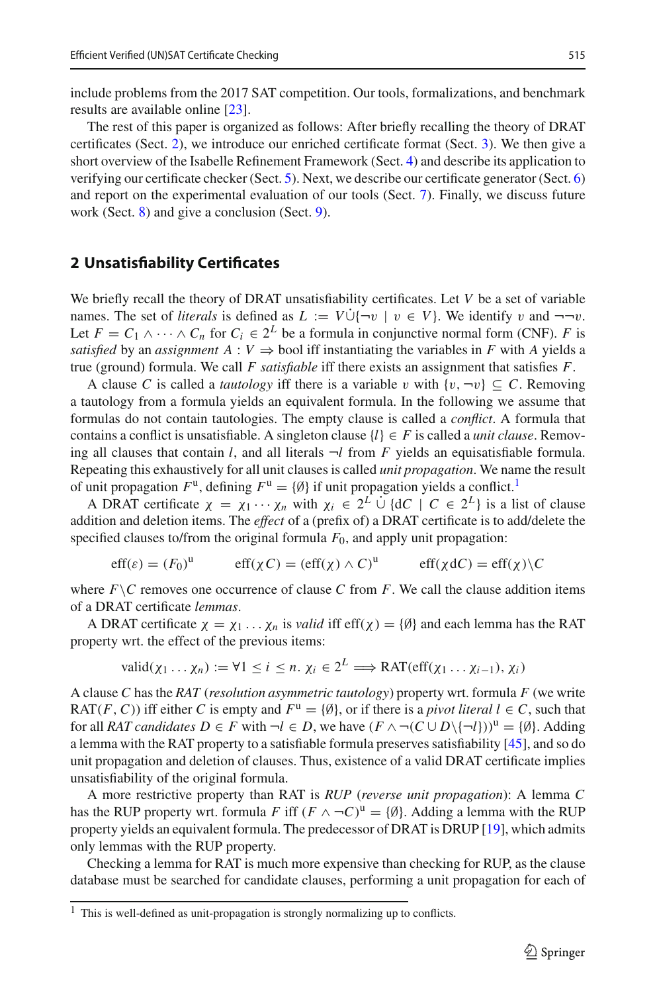include problems from the 2017 SAT competition. Our tools, formalizations, and benchmark results are available online [\[23\]](#page-18-10).

The rest of this paper is organized as follows: After briefly recalling the theory of DRAT certificates (Sect. [2\)](#page-2-0), we introduce our enriched certificate format (Sect. [3\)](#page-3-0). We then give a short overview of the Isabelle Refinement Framework (Sect. [4\)](#page-4-0) and describe its application to verifying our certificate checker (Sect. [5\)](#page-5-0). Next, we describe our certificate generator (Sect. [6\)](#page-12-0) and report on the experimental evaluation of our tools (Sect. [7\)](#page-14-0). Finally, we discuss future work (Sect. [8\)](#page-16-0) and give a conclusion (Sect. [9\)](#page-17-0).

#### <span id="page-2-0"></span>**2 Unsatisfiability Certificates**

We briefly recall the theory of DRAT unsatisfiability certificates. Let *V* be a set of variable names. The set of *literals* is defined as  $L := V \dot{\cup} \{-v \mid v \in V\}$ . We identify v and  $\neg\neg v$ . Let  $F = C_1 \wedge \cdots \wedge C_n$  for  $C_i \in 2^L$  be a formula in conjunctive normal form (CNF). *F* is *satisfied* by an *assignment*  $A: V \Rightarrow$  bool iff instantiating the variables in *F* with *A* yields a true (ground) formula. We call *F satisfiable* iff there exists an assignment that satisfies *F*.

A clause *C* is called a *tautology* iff there is a variable v with  $\{v, \neg v\} \subseteq C$ . Removing a tautology from a formula yields an equivalent formula. In the following we assume that formulas do not contain tautologies. The empty clause is called a *conflict*. A formula that contains a conflict is unsatisfiable. A singleton clause  ${l} \in F$  is called a *unit clause*. Removing all clauses that contain *l*, and all literals  $\neg l$  from *F* yields an equisatisfiable formula. Repeating this exhaustively for all unit clauses is called *unit propagation*. We name the result of unit propagation  $F^{\mathrm{u}}$ , defining  $F^{\mathrm{u}} = \{\emptyset\}$  if unit propagation yields a conflict.<sup>1</sup>

A DRAT certificate  $\chi = \chi_1 \cdots \chi_n$  with  $\chi_i \in 2^L \cup \{ dC \mid C \in 2^L \}$  is a list of clause addition and deletion items. The *effect* of a (prefix of) a DRAT certificate is to add/delete the specified clauses to/from the original formula  $F_0$ , and apply unit propagation:

$$
\text{eff}(\varepsilon) = (F_0)^{\text{u}} \qquad \text{eff}(\chi C) = (\text{eff}(\chi) \wedge C)^{\text{u}} \qquad \text{eff}(\chi \, dC) = \text{eff}(\chi) \setminus C
$$

where  $F \backslash C$  removes one occurrence of clause *C* from *F*. We call the clause addition items of a DRAT certificate *lemmas*.

A DRAT certificate  $\chi = \chi_1 \dots \chi_n$  is *valid* iff eff( $\chi$ ) = {Ø} and each lemma has the RAT property wrt. the effect of the previous items:

$$
\mathrm{valid}(\chi_1 \dots \chi_n) := \forall 1 \leq i \leq n. \ \chi_i \in 2^L \Longrightarrow \mathrm{RAT}(\mathrm{eff}(\chi_1 \dots \chi_{i-1}), \chi_i)
$$

A clause *C* has the *RAT* (*resolution asymmetric tautology*) property wrt. formula *F* (we write RAT(*F*, *C*)) iff either *C* is empty and  $F^{\mathrm{u}} = \{\emptyset\}$ , or if there is a *pivot literal*  $l \in C$ , such that for all *RAT candidates*  $D \in F$  with  $\neg l \in D$ , we have  $(F \land \neg (C \cup D \setminus \{\neg l\}))^{\text{u}} = \{\emptyset\}$ . Adding a lemma with the RAT property to a satisfiable formula preserves satisfiability [\[45\]](#page-19-5), and so do unit propagation and deletion of clauses. Thus, existence of a valid DRAT certificate implies unsatisfiability of the original formula.

A more restrictive property than RAT is *RUP* (*reverse unit propagation*): A lemma *C* has the RUP property wrt. formula *F* iff  $(F \wedge \neg C)^u = \{\emptyset\}$ . Adding a lemma with the RUP property yields an equivalent formula. The predecessor of DRAT is DRUP [\[19\]](#page-18-11), which admits only lemmas with the RUP property.

Checking a lemma for RAT is much more expensive than checking for RUP, as the clause database must be searched for candidate clauses, performing a unit propagation for each of

<span id="page-2-1"></span><sup>1</sup> This is well-defined as unit-propagation is strongly normalizing up to conflicts.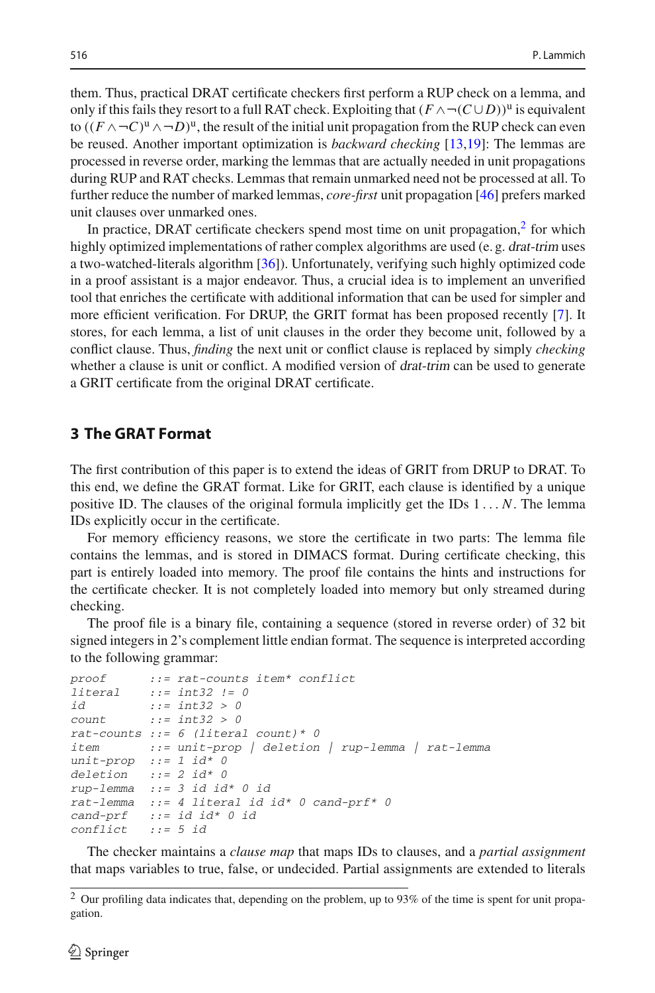them. Thus, practical DRAT certificate checkers first perform a RUP check on a lemma, and only if this fails they resort to a full RAT check. Exploiting that  $(F \land \neg(C \cup D))^u$  is equivalent to  $((F \wedge \neg C)^u \wedge \neg D)^u$ , the result of the initial unit propagation from the RUP check can even be reused. Another important optimization is *backward checking* [\[13](#page-18-12)[,19\]](#page-18-11): The lemmas are processed in reverse order, marking the lemmas that are actually needed in unit propagations during RUP and RAT checks. Lemmas that remain unmarked need not be processed at all. To further reduce the number of marked lemmas, *core-first* unit propagation [\[46\]](#page-19-1) prefers marked unit clauses over unmarked ones.

In practice, DRAT certificate checkers spend most time on unit propagation, $2$  for which highly optimized implementations of rather complex algorithms are used (e.g. drat-trim uses a two-watched-literals algorithm [\[36\]](#page-19-7)). Unfortunately, verifying such highly optimized code in a proof assistant is a major endeavor. Thus, a crucial idea is to implement an unverified tool that enriches the certificate with additional information that can be used for simpler and more efficient verification. For DRUP, the GRIT format has been proposed recently [\[7\]](#page-18-5). It stores, for each lemma, a list of unit clauses in the order they become unit, followed by a conflict clause. Thus, *finding* the next unit or conflict clause is replaced by simply *checking* whether a clause is unit or conflict. A modified version of drat-trim can be used to generate a GRIT certificate from the original DRAT certificate.

#### <span id="page-3-0"></span>**3 The GRAT Format**

The first contribution of this paper is to extend the ideas of GRIT from DRUP to DRAT. To this end, we define the GRAT format. Like for GRIT, each clause is identified by a unique positive ID. The clauses of the original formula implicitly get the IDs 1 ... *N*. The lemma IDs explicitly occur in the certificate.

For memory efficiency reasons, we store the certificate in two parts: The lemma file contains the lemmas, and is stored in DIMACS format. During certificate checking, this part is entirely loaded into memory. The proof file contains the hints and instructions for the certificate checker. It is not completely loaded into memory but only streamed during checking.

The proof file is a binary file, containing a sequence (stored in reverse order) of 32 bit signed integers in 2's complement little endian format. The sequence is interpreted according to the following grammar:

```
proof ::= rat-counts item* conflict
literal ::= int32 != 0
id ::= int32 > 0
count ::= int32 > 0
rat-counts := 6 (literal count)* 0
item ::= unit-prop | deletion | rup-lemma | rat-lemma
unit-prop ::= 1 id* 0
deletion ::= 2 id* 0
rup-lemma ::= 3 id id* 0 id
rat-lemma ::= 4 literal id id* 0 cand-prf* 0
cand-prf ::= id id* 0 id
conflict ::= 5 id
```
The checker maintains a *clause map* that maps IDs to clauses, and a *partial assignment* that maps variables to true, false, or undecided. Partial assignments are extended to literals

<span id="page-3-1"></span><sup>&</sup>lt;sup>2</sup> Our profiling data indicates that, depending on the problem, up to 93% of the time is spent for unit propagation.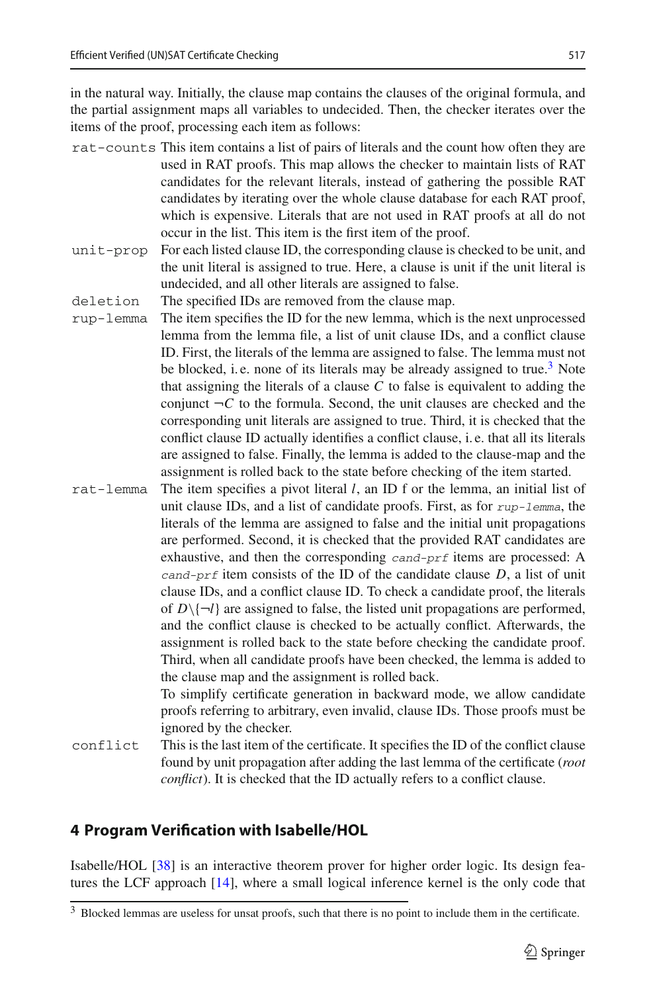- rat-counts This item contains a list of pairs of literals and the count how often they are used in RAT proofs. This map allows the checker to maintain lists of RAT candidates for the relevant literals, instead of gathering the possible RAT candidates by iterating over the whole clause database for each RAT proof, which is expensive. Literals that are not used in RAT proofs at all do not occur in the list. This item is the first item of the proof.
- unit-prop For each listed clause ID, the corresponding clause is checked to be unit, and the unit literal is assigned to true. Here, a clause is unit if the unit literal is undecided, and all other literals are assigned to false.
- deletion The specified IDs are removed from the clause map.
- rup-lemma The item specifies the ID for the new lemma, which is the next unprocessed lemma from the lemma file, a list of unit clause IDs, and a conflict clause ID. First, the literals of the lemma are assigned to false. The lemma must not be blocked, i.e. none of its literals may be already assigned to true.<sup>3</sup> Note that assigning the literals of a clause *C* to false is equivalent to adding the conjunct  $\neg C$  to the formula. Second, the unit clauses are checked and the corresponding unit literals are assigned to true. Third, it is checked that the conflict clause ID actually identifies a conflict clause, i. e. that all its literals are assigned to false. Finally, the lemma is added to the clause-map and the assignment is rolled back to the state before checking of the item started.
- rat-lemma The item specifies a pivot literal *l*, an ID f or the lemma, an initial list of unit clause IDs, and a list of candidate proofs. First, as for rup-lemma, the literals of the lemma are assigned to false and the initial unit propagations are performed. Second, it is checked that the provided RAT candidates are exhaustive, and then the corresponding cand-prf items are processed: A cand-prf item consists of the ID of the candidate clause *D*, a list of unit clause IDs, and a conflict clause ID. To check a candidate proof, the literals of  $D \setminus \{\neg l\}$  are assigned to false, the listed unit propagations are performed, and the conflict clause is checked to be actually conflict. Afterwards, the assignment is rolled back to the state before checking the candidate proof. Third, when all candidate proofs have been checked, the lemma is added to the clause map and the assignment is rolled back. To simplify certificate generation in backward mode, we allow candidate
	- proofs referring to arbitrary, even invalid, clause IDs. Those proofs must be ignored by the checker.
- conflict This is the last item of the certificate. It specifies the ID of the conflict clause found by unit propagation after adding the last lemma of the certificate (*root conflict*). It is checked that the ID actually refers to a conflict clause.

# <span id="page-4-0"></span>**4 Program Verification with Isabelle/HOL**

Isabelle/HOL [\[38\]](#page-19-4) is an interactive theorem prover for higher order logic. Its design features the LCF approach [\[14](#page-18-2)], where a small logical inference kernel is the only code that

<span id="page-4-1"></span><sup>3</sup> Blocked lemmas are useless for unsat proofs, such that there is no point to include them in the certificate.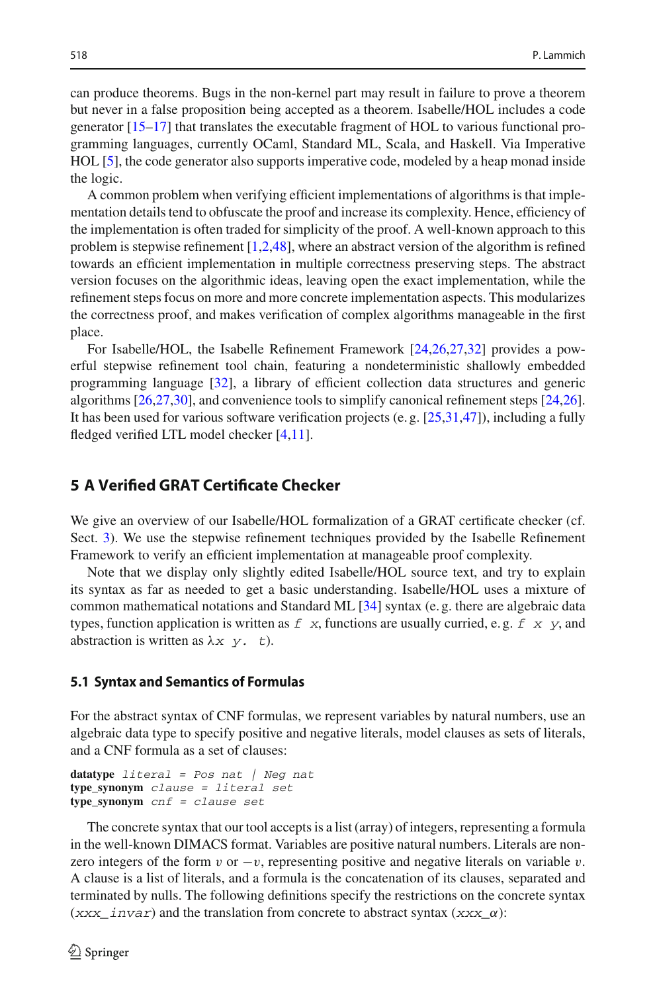can produce theorems. Bugs in the non-kernel part may result in failure to prove a theorem but never in a false proposition being accepted as a theorem. Isabelle/HOL includes a code generator [\[15](#page-18-13)[–17](#page-18-14)] that translates the executable fragment of HOL to various functional programming languages, currently OCaml, Standard ML, Scala, and Haskell. Via Imperative HOL [\[5\]](#page-18-15), the code generator also supports imperative code, modeled by a heap monad inside the logic.

A common problem when verifying efficient implementations of algorithms is that implementation details tend to obfuscate the proof and increase its complexity. Hence, efficiency of the implementation is often traded for simplicity of the proof. A well-known approach to this problem is stepwise refinement [\[1](#page-18-16)[,2](#page-18-17)[,48](#page-19-8)], where an abstract version of the algorithm is refined towards an efficient implementation in multiple correctness preserving steps. The abstract version focuses on the algorithmic ideas, leaving open the exact implementation, while the refinement steps focus on more and more concrete implementation aspects. This modularizes the correctness proof, and makes verification of complex algorithms manageable in the first place.

For Isabelle/HOL, the Isabelle Refinement Framework [\[24](#page-18-18)[,26](#page-18-19)[,27](#page-18-20)[,32](#page-19-9)] provides a powerful stepwise refinement tool chain, featuring a nondeterministic shallowly embedded programming language [\[32](#page-19-9)], a library of efficient collection data structures and generic algorithms [\[26](#page-18-19)[,27](#page-18-20)[,30\]](#page-18-21), and convenience tools to simplify canonical refinement steps [\[24](#page-18-18)[,26\]](#page-18-19). It has been used for various software verification projects (e. g. [\[25](#page-18-22)[,31](#page-18-23)[,47](#page-19-10)]), including a fully fledged verified LTL model checker [\[4](#page-18-24)[,11\]](#page-18-25).

## <span id="page-5-0"></span>**5 A Verified GRAT Certificate Checker**

We give an overview of our Isabelle/HOL formalization of a GRAT certificate checker (cf. Sect. [3\)](#page-3-0). We use the stepwise refinement techniques provided by the Isabelle Refinement Framework to verify an efficient implementation at manageable proof complexity.

Note that we display only slightly edited Isabelle/HOL source text, and try to explain its syntax as far as needed to get a basic understanding. Isabelle/HOL uses a mixture of common mathematical notations and Standard ML [\[34](#page-19-6)] syntax (e. g. there are algebraic data types, function application is written as  $f \times x$ , functions are usually curried, e.g.  $f \times y$ , and abstraction is written as  $\lambda x \, y$ . t).

#### <span id="page-5-1"></span>**5.1 Syntax and Semantics of Formulas**

For the abstract syntax of CNF formulas, we represent variables by natural numbers, use an algebraic data type to specify positive and negative literals, model clauses as sets of literals, and a CNF formula as a set of clauses:

```
datatype literal = Pos nat | Neg nat
type_synonym clause = literal set
type_synonym cnf = clause set
```
The concrete syntax that our tool accepts is a list (array) of integers, representing a formula in the well-known DIMACS format. Variables are positive natural numbers. Literals are nonzero integers of the form v or  $-v$ , representing positive and negative literals on variable v. A clause is a list of literals, and a formula is the concatenation of its clauses, separated and terminated by nulls. The following definitions specify the restrictions on the concrete syntax  $(xxx\_invar)$  and the translation from concrete to abstract syntax  $(xxx<sub>\alpha</sub>)$ :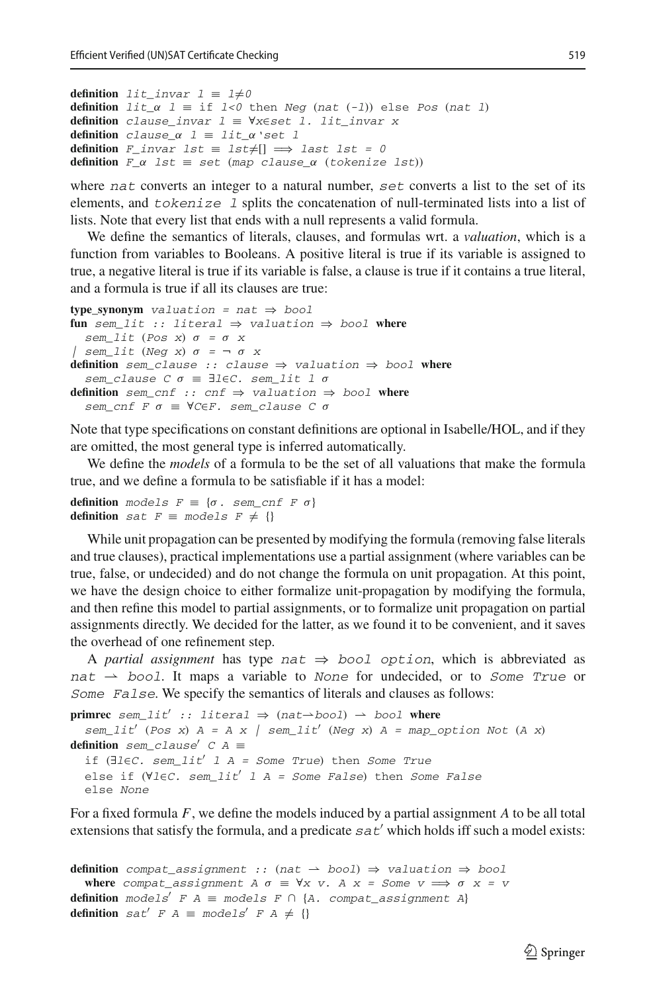```
definition lit invar l \equiv l \neq 0definition lit_\alpha l \equiv if l < 0 then Neg (nat (-1)) else Pos (nat 1)
definition clause_invar l = \forall x \in set l. lit_invar x
definition clause \alpha l \equiv lit \alpha'set l
definition F\_invar lst \equiv lst≠[] \Longrightarrow last lst = 0
definition F_\alpha lst \equiv set (map clause_\alpha (tokenize lst))
```
where nat converts an integer to a natural number, set converts a list to the set of its elements, and  $tokenize$  I splits the concatenation of null-terminated lists into a list of lists. Note that every list that ends with a null represents a valid formula.

We define the semantics of literals, clauses, and formulas wrt. a *valuation*, which is a function from variables to Booleans. A positive literal is true if its variable is assigned to true, a negative literal is true if its variable is false, a clause is true if it contains a true literal, and a formula is true if all its clauses are true:

```
type_synonym valuation = nat \Rightarrow bool
fun sem lit :: literal ⇒ valuation ⇒ bool where
  sem lit (Pos x) \sigma = \sigma xsem\_lit (Neg x) \sigma = \neg \sigma xdefinition sem_clause :: clause ⇒ valuation ⇒ bool where
  sem_clause C \sigma = \exists l \in C. sem_lit l \sigmadefinition sem_cnf :: cnf \Rightarrow valuation \Rightarrow bool where
  sem_cnf F \sigma = \forall C \in F. sem_clause C \sigma
```
Note that type specifications on constant definitions are optional in Isabelle/HOL, and if they are omitted, the most general type is inferred automatically.

We define the *models* of a formula to be the set of all valuations that make the formula true, and we define a formula to be satisfiable if it has a model:

```
definition models F = \{\sigma : \text{sem\_cnf } F \sigma\}definition sat F \equiv \text{models} F \neq \{\}
```
While unit propagation can be presented by modifying the formula (removing false literals and true clauses), practical implementations use a partial assignment (where variables can be true, false, or undecided) and do not change the formula on unit propagation. At this point, we have the design choice to either formalize unit-propagation by modifying the formula, and then refine this model to partial assignments, or to formalize unit propagation on partial assignments directly. We decided for the latter, as we found it to be convenient, and it saves the overhead of one refinement step.

A *partial assignment* has type  $nat \Rightarrow bool$  *option*, which is abbreviated as nat  $\rightarrow$  bool. It maps a variable to None for undecided, or to Some True or Some False. We specify the semantics of literals and clauses as follows:

```
primrec sem lit' :: literal \Rightarrow (nat\rightarrow bool) \rightarrow bool where
  sem\_lit' (Pos x) A = A \times | sem_lit' (Neg x) A = map\_option Not (A x)
definition sem_clause' C A \equivif (\exists l \in C. sem_lit' l A = Some True) then Some True
  else if (∀l∈C. sem_lit' 1 A = Some False) then Some False
  else None
```
For a fixed formula *F*, we define the models induced by a partial assignment *A* to be all total extensions that satisfy the formula, and a predicate  $sat'$  which holds iff such a model exists:

```
definition compat_assignment :: (nat \rightarrow bool) \Rightarrow valuation \Rightarrow boolwhere \text{compact\_assignment} A \sigma = \forall x \ v. A \ x = \text{Some} \ v \Longrightarrow \sigma \ x = \nudefinition models' F \cap \{A. compat_assignment A}
definition sat' F A \equiv models' F A \neq {}
```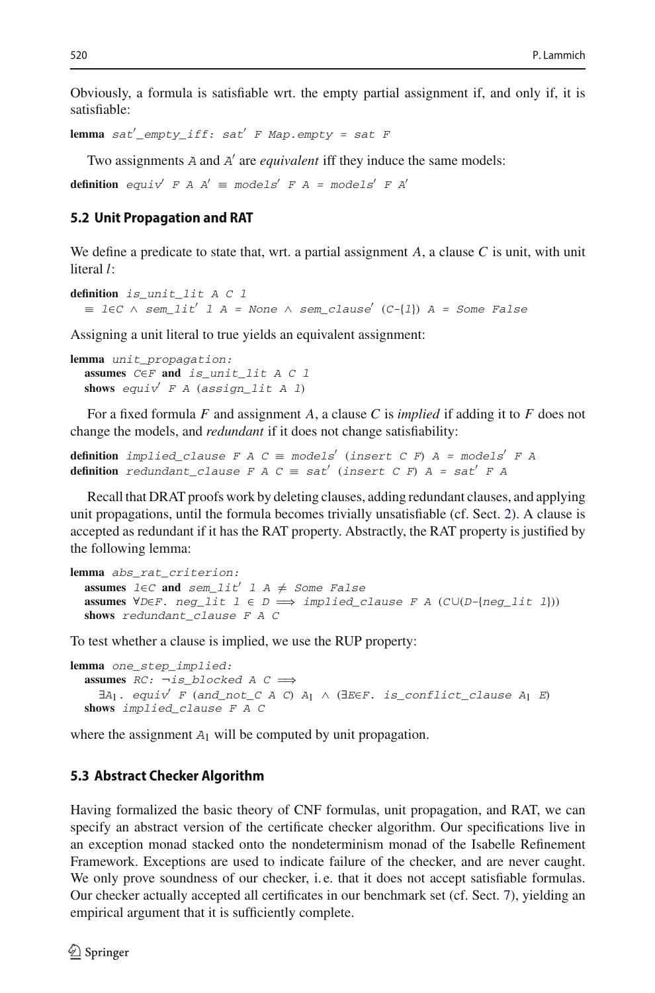Obviously, a formula is satisfiable wrt. the empty partial assignment if, and only if, it is satisfiable:

**lemma** sat \_empty\_iff: sat <sup>F</sup> Map.empty <sup>=</sup> sat <sup>F</sup>

Two assignments A and A' are *equivalent* iff they induce the same models:

**definition** equiv  $F A A' \equiv$  models'  $F A =$  models'  $F A'$ 

#### <span id="page-7-0"></span>**5.2 Unit Propagation and RAT**

We define a predicate to state that, wrt. a partial assignment *A*, a clause *C* is unit, with unit literal *l*:

```
definition is_unit_lit A C l
  \equiv l∈C \land sem_lit' l A = None \land sem_clause' (C-{l}) A = Some False
```
Assigning a unit literal to true yields an equivalent assignment:

```
lemma unit_propagation:
 assumes C∈F and is_unit_lit A C l
 shows equiv F A (assign_lit A 1)
```
For a fixed formula *F* and assignment *A*, a clause *C* is *implied* if adding it to *F* does not change the models, and *redundant* if it does not change satisfiability:

```
definition implied clause F A C \equiv models' (insert C F) A = models' F A
definition redundant_clause F A C \equiv sat' (insert C F) A = sat' F A
```
Recall that DRAT proofs work by deleting clauses, adding redundant clauses, and applying unit propagations, until the formula becomes trivially unsatisfiable (cf. Sect. [2\)](#page-2-0). A clause is accepted as redundant if it has the RAT property. Abstractly, the RAT property is justified by the following lemma:

```
lemma abs_rat_criterion:
  assumes l ∈ C and sem_lit' l A ≠ Some False
  assumes ∀D∈F. neg_lit l ∈ D 
⇒ implied_clause F A (C∪(D-{neg_lit l}))
  shows redundant_clause F A C
```
To test whether a clause is implied, we use the RUP property:

```
lemma one_step_implied:
  assumes RC: ¬is_blocked A C 
⇒
    \exists A_1. equiv F (and_not_C A C) A_1 \wedge (\exists E \in F. is_conflict_clause A_1 E)
  shows implied_clause F A C
```
where the assignment  $A_1$  will be computed by unit propagation.

#### **5.3 Abstract Checker Algorithm**

Having formalized the basic theory of CNF formulas, unit propagation, and RAT, we can specify an abstract version of the certificate checker algorithm. Our specifications live in an exception monad stacked onto the nondeterminism monad of the Isabelle Refinement Framework. Exceptions are used to indicate failure of the checker, and are never caught. We only prove soundness of our checker, i.e. that it does not accept satisfiable formulas. Our checker actually accepted all certificates in our benchmark set (cf. Sect. [7\)](#page-14-0), yielding an empirical argument that it is sufficiently complete.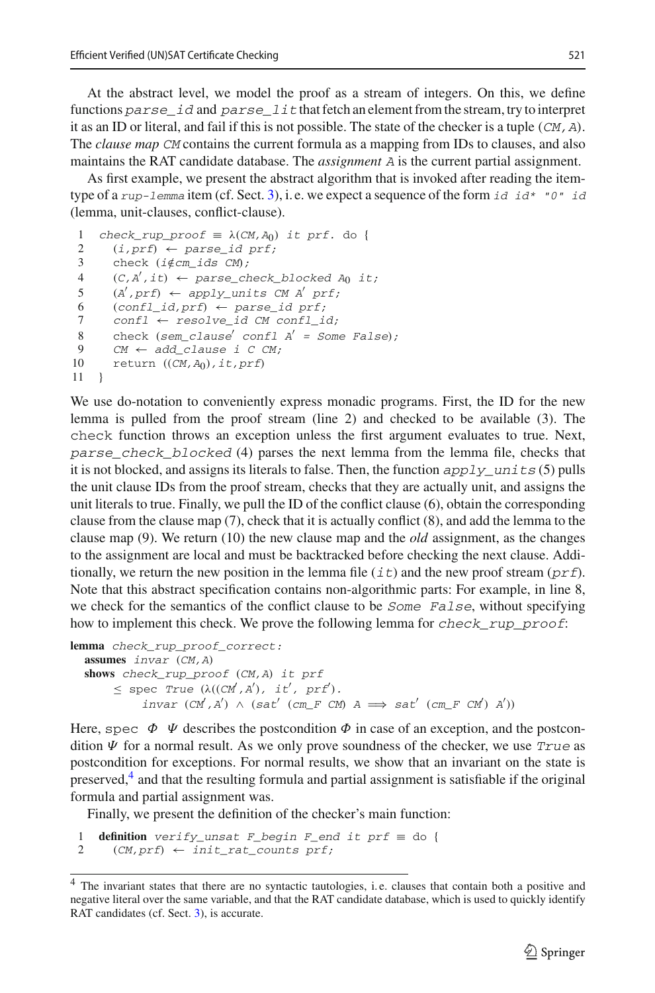At the abstract level, we model the proof as a stream of integers. On this, we define functions parse  $id$  and parse  $l$  i t that fetch an element from the stream, try to interpret it as an ID or literal, and fail if this is not possible. The state of the checker is a tuple (CM, A). The *clause map* CM contains the current formula as a mapping from IDs to clauses, and also maintains the RAT candidate database. The *assignment* <sup>A</sup> is the current partial assignment.

As first example, we present the abstract algorithm that is invoked after reading the item-type of a rup-lemma item (cf. Sect. [3\)](#page-3-0), i.e. we expect a sequence of the form id id\* "0" id (lemma, unit-clauses, conflict-clause).

```
1 check_rup_proof \equiv \lambda(CM, A_0) it prf. do {<br>2 (i.prf) \leftarrow parse id prf:
 2 (i, prf) \leftarrow parse_id prf;<br>3 check (i d cm i ds CM):
 3 check (i \notin cm\_ids CM);<br>4 (C,A',it) \leftarrow parse ch
  4 (C, A', it) \leftarrow parse\_check\_block A_0 it;
  5 (A, prf) \leftarrow apply_units CM A' prf;
 6 (confl_id, prf) \leftarrow parse_id prf;<br>7 confl \leftarrow resolve id CM confl i
 7 confl ← resolve_id CM confl_id;<br>8 check (sem clause confl a' = Som8 check (sem_clause' confl A' = Some False);<br>9 CM \leftarrow add clause i C CM:
9 CM \leftarrow add\_clause \text{ } i \text{ } C \text{ } CM;<br>10 return ((CM, An), it, prf)return ((CM,A<sub>0</sub>), it, prf)11 }
```
We use do-notation to conveniently express monadic programs. First, the ID for the new lemma is pulled from the proof stream (line 2) and checked to be available (3). The check function throws an exception unless the first argument evaluates to true. Next, parse\_check\_blocked (4) parses the next lemma from the lemma file, checks that it is not blocked, and assigns its literals to false. Then, the function  $apply\_units$  (5) pulls the unit clause IDs from the proof stream, checks that they are actually unit, and assigns the unit literals to true. Finally, we pull the ID of the conflict clause (6), obtain the corresponding clause from the clause map (7), check that it is actually conflict (8), and add the lemma to the clause map (9). We return (10) the new clause map and the *old* assignment, as the changes to the assignment are local and must be backtracked before checking the next clause. Additionally, we return the new position in the lemma file ( $it$ ) and the new proof stream ( $prf$ ). Note that this abstract specification contains non-algorithmic parts: For example, in line 8, we check for the semantics of the conflict clause to be *Some False*, without specifying how to implement this check. We prove the following lemma for check\_rup\_proof:

```
lemma check_rup_proof_correct:
  assumes invar (CM,A)
  shows check_rup_proof (CM,A) it prf
       \leq spec True (\lambda((CM', A'), it', prf')).invar (CM, A') \wedge (sat' (cm_F CM) A \implies sat' (cm_F CM) A')
```
Here, spec  $\Phi \Psi$  describes the postcondition  $\Phi$  in case of an exception, and the postcondition  $\Psi$  for a normal result. As we only prove soundness of the checker, we use True as postcondition for exceptions. For normal results, we show that an invariant on the state is preserved, $4$  and that the resulting formula and partial assignment is satisfiable if the original formula and partial assignment was.

Finally, we present the definition of the checker's main function:

```
1 definition verify_unsat F_begin F_end it prf \equiv do {<br>2 (CM.prf) \leftarrow init rat counts prf:
         (CM, prf) \leftarrow init\_rat\_counts prf;
```
<span id="page-8-0"></span><sup>&</sup>lt;sup>4</sup> The invariant states that there are no syntactic tautologies, i.e. clauses that contain both a positive and negative literal over the same variable, and that the RAT candidate database, which is used to quickly identify RAT candidates (cf. Sect. [3\)](#page-3-0), is accurate.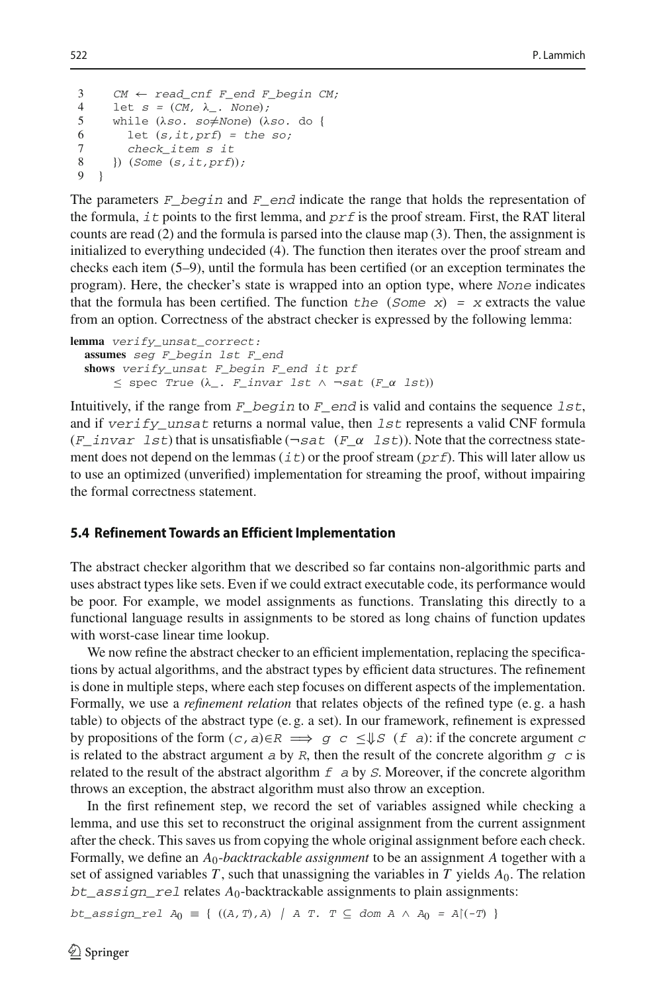```
3 CM ← read_cnf F_end F_begin CM;<br>4 let s = (CM, \lambda, None):
4 let s = (CM, \lambda_-. None);<br>5 while (\lambda so. so \neq None) (\lambda5 while (\lambda s \circ \cdot s \circ \neq \text{None}) (\lambda s \circ \cdot do {<br>6 let (s \text{ if } nrf) = f he so6 let (s, it, prf) = the so;<br>7 check item s it
               check item s it
8 \} (Some (s, it, prf));
\overline{9}
```
The parameters F\_begin and F\_end indicate the range that holds the representation of the formula, it points to the first lemma, and  $prf$  is the proof stream. First, the RAT literal counts are read (2) and the formula is parsed into the clause map (3). Then, the assignment is initialized to everything undecided (4). The function then iterates over the proof stream and checks each item (5–9), until the formula has been certified (or an exception terminates the program). Here, the checker's state is wrapped into an option type, where None indicates that the formula has been certified. The function  $the (Some x) = x$  extracts the value from an option. Correctness of the abstract checker is expressed by the following lemma:

```
lemma verify_unsat_correct:
  assumes seg F_begin lst F_end
  shows verify_unsat F_begin F_end it prf
       \leq spec True (\lambda_. F_invar 1st \land ¬sat (F_\alpha 1st))
```
Intuitively, if the range from  $F_{\perp}$  begin to  $F_{\perp}$  end is valid and contains the sequence lst, and if verify\_unsat returns a normal value, then  $1st$  represents a valid CNF formula  $(F_i$ invar lst) that is unsatisfiable ( $\neg sat$   $(F_\alpha$  lst)). Note that the correctness statement does not depend on the lemmas ( $i t$ ) or the proof stream ( $p t$ ). This will later allow us to use an optimized (unverified) implementation for streaming the proof, without impairing the formal correctness statement.

#### **5.4 Refinement Towards an Efficient Implementation**

The abstract checker algorithm that we described so far contains non-algorithmic parts and uses abstract types like sets. Even if we could extract executable code, its performance would be poor. For example, we model assignments as functions. Translating this directly to a functional language results in assignments to be stored as long chains of function updates with worst-case linear time lookup.

We now refine the abstract checker to an efficient implementation, replacing the specifications by actual algorithms, and the abstract types by efficient data structures. The refinement is done in multiple steps, where each step focuses on different aspects of the implementation. Formally, we use a *refinement relation* that relates objects of the refined type (e. g. a hash table) to objects of the abstract type (e. g. a set). In our framework, refinement is expressed by propositions of the form  $(c, a) \in R \implies g \subset \subseteq \downarrow S$  (*f* a): if the concrete argument c is related to the abstract argument a by R, then the result of the concrete algorithm  $g \, c$  is related to the result of the abstract algorithm  $f$  a by  $S$ . Moreover, if the concrete algorithm throws an exception, the abstract algorithm must also throw an exception.

In the first refinement step, we record the set of variables assigned while checking a lemma, and use this set to reconstruct the original assignment from the current assignment after the check. This saves us from copying the whole original assignment before each check. Formally, we define an *A*0-*backtrackable assignment* to be an assignment *A* together with a set of assigned variables  $T$ , such that unassigning the variables in  $T$  yields  $A_0$ . The relation bt\_assign\_rel relates *A*0-backtrackable assignments to plain assignments:

bt\_assign\_rel  $A_0 \equiv \{ ((A, T), A) | A T. T \subseteq \text{dom } A \wedge A_0 = A \vert (-T) \}$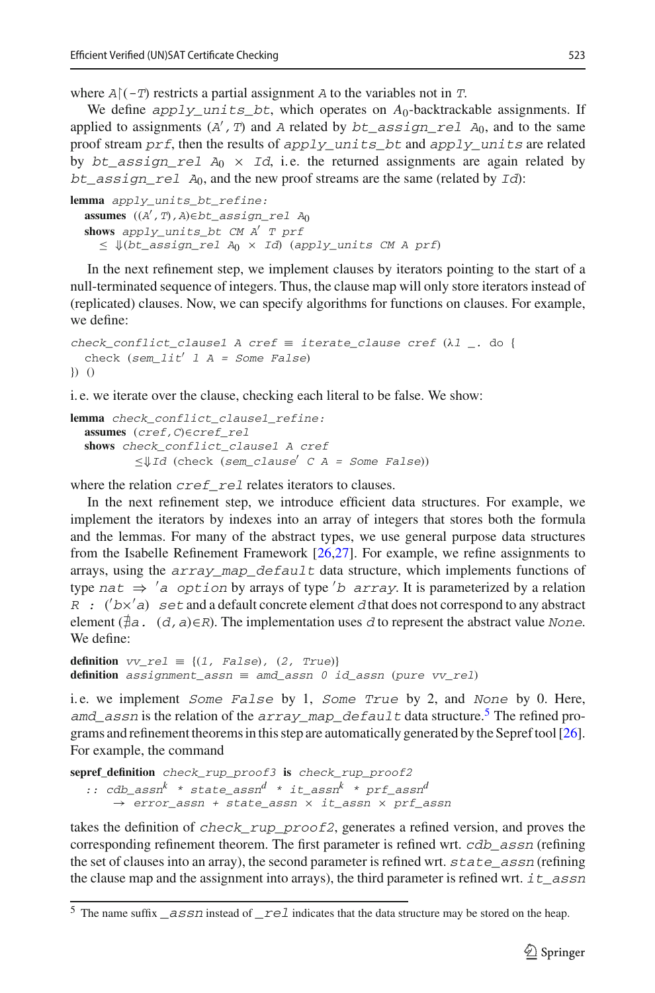where  $A[(-T)$  restricts a partial assignment A to the variables not in T.

We define apply units bt, which operates on  $A_0$ -backtrackable assignments. If applied to assignments  $(A', T)$  and A related by  $bt\_assign\_rel$   $A_0$ , and to the same proof stream  $prf$ , then the results of apply units bt and apply units are related by bt assign rel  $A_0 \times Id$ , i.e. the returned assignments are again related by bt assign rel A<sub>0</sub>, and the new proof streams are the same (related by  $Id$ ):

```
lemma apply units bt refine:
  assumes ((A
,T),A)∈bt_assign_rel A0
  shows apply_units_bt CM A' T prf
     \leq \sqrt{\frac{k}{b}} (bt_assign_rel A<sub>0</sub> \times Id) (apply_units CM A prf)
```
In the next refinement step, we implement clauses by iterators pointing to the start of a null-terminated sequence of integers. Thus, the clause map will only store iterators instead of (replicated) clauses. Now, we can specify algorithms for functions on clauses. For example, we define:

```
check conflict clause1 A cref \equiv iterate clause cref (\lambdal . do {
  check (\text{sem\_lit}' 1 A = \text{Some False})}) ()
```
i. e. we iterate over the clause, checking each literal to be false. We show:

```
lemma check_conflict_clause1_refine:
  assumes (cref,C)∈cref_rel
  shows check_conflict_clause1 A cref
         \leq Id (check (sem clause' C A = Some False))
```
where the relation  $cref_{rel}$  relates iterators to clauses.

In the next refinement step, we introduce efficient data structures. For example, we implement the iterators by indexes into an array of integers that stores both the formula and the lemmas. For many of the abstract types, we use general purpose data structures from the Isabelle Refinement Framework [\[26](#page-18-19)[,27](#page-18-20)]. For example, we refine assignments to arrays, using the  $array\_map\_default$  data structure, which implements functions of type  $nat \Rightarrow 'a$  option by arrays of type 'b array. It is parameterized by a relation R :  $('bx'a)$  set and a default concrete element d that does not correspond to any abstract element ( $\sharp a$ . (d, a)∈R). The implementation uses d to represent the abstract value None. We define:

```
definition vv_{rel} \equiv \{(1, False), (2, True)\}definition assignment_assn \equiv amd_assn 0 id_assn (pure vv_rel)
```
i.e. we implement Some False by 1, Some True by 2, and None by 0. Here, amd\_assn is the relation of the array\_map\_default data structure.<sup>[5](#page-10-0)</sup> The refined programs and refinement theorems in this step are automatically generated by the Sepref tool [\[26\]](#page-18-19). For example, the command

**sepref\_definition** check\_rup\_proof3 **is** check\_rup\_proof2 :: cdb\_assn*k* \* state\_assn*d* \* it\_assn*k* \* prf\_assn*d* → error\_assn <sup>+</sup> state\_assn × it\_assn × prf\_assn

takes the definition of check\_rup\_proof2, generates a refined version, and proves the corresponding refinement theorem. The first parameter is refined wrt. cdb\_assn (refining the set of clauses into an array), the second parameter is refined wrt.  $state\_assn$  (refining the clause map and the assignment into arrays), the third parameter is refined wrt.  $i t_{\text{L}}$  assn

<span id="page-10-0"></span><sup>&</sup>lt;sup>5</sup> The name suffix  $\Delta SSD$  instead of  $\Delta rel$  indicates that the data structure may be stored on the heap.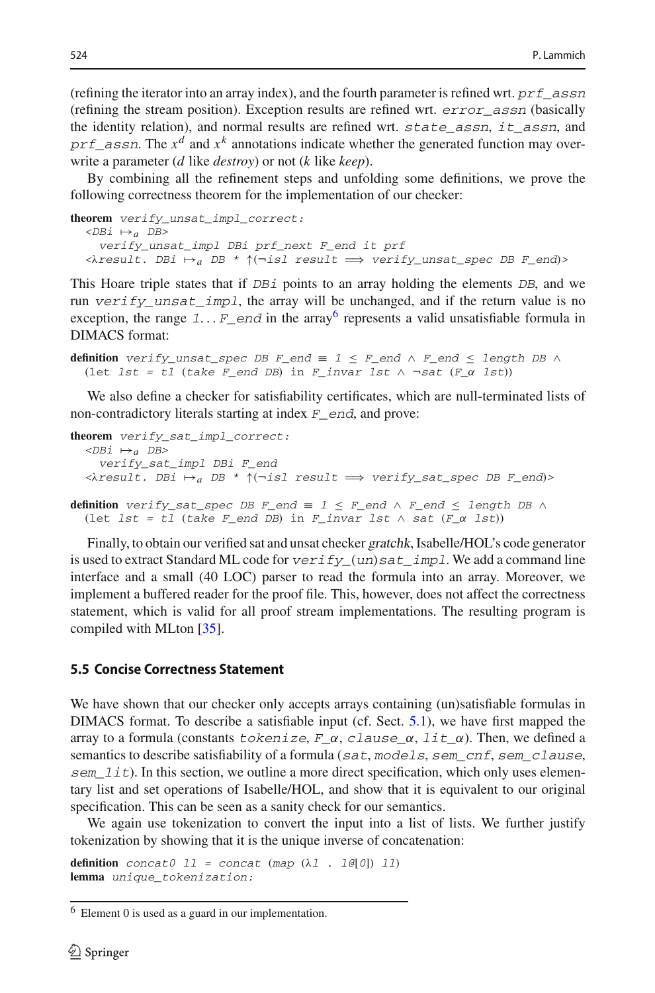(refining the iterator into an array index), and the fourth parameter is refined wrt.  $prf\_assn$ (refining the stream position). Exception results are refined wrt. error\_assn (basically the identity relation), and normal results are refined wrt. state\_assn, it\_assn, and prf<sub>assn</sub>. The  $x^d$  and  $x^k$  annotations indicate whether the generated function may overwrite a parameter (*d* like *destroy*) or not (*k* like *keep*).

By combining all the refinement steps and unfolding some definitions, we prove the following correctness theorem for the implementation of our checker:

```
theorem verify_unsat_impl_correct:
  <DBi \mapsto<sub>a</sub> DB></sub>
    verify_unsat_impl DBi prf_next F_end it prf
  <λresult. DBi →a DB * ↑(¬isl result 
⇒ verify_unsat_spec DB F_end)>
```
This Hoare triple states that if DB1 points to an array holding the elements DB, and we run verify\_unsat\_impl, the array will be unchanged, and if the return value is no exception, the range 1...  $F_{end}$  in the array<sup>[6](#page-11-0)</sup> represents a valid unsatisfiable formula in DIMACS format:

```
definition verify_unsat_spec DB F_end \equiv 1 \leq F_end \wedge F_end \leq length DB \wedge(let lst = tl (take F_end DB) in F_invar lst \wedge \neg sat (F_\alpha lst))
```
We also define a checker for satisfiability certificates, which are null-terminated lists of non-contradictory literals starting at index  $F_{end}$ , and prove:

```
theorem verify_sat_impl_correct:
  \langle DBi \rangle \rightarrow a DB>
    verify_sat_impl DBi F_end
  <λresult. DBi →a DB * ↑(¬isl result 
⇒ verify_sat_spec DB F_end)>
definition verify_sat_spec DB F_end \equiv 1 \leq F_end \wedge F_end \leq length DB \wedge(let 1st = t1 (take F_end DB) in F_invar 1st \wedge sat (F_\alpha 1st))
```
Finally, to obtain our verified sat and unsat checker gratchk, Isabelle/HOL's code generator is used to extract Standard ML code for  $verify_l(m)$ sat\_impl. We add a command line interface and a small (40 LOC) parser to read the formula into an array. Moreover, we implement a buffered reader for the proof file. This, however, does not affect the correctness statement, which is valid for all proof stream implementations. The resulting program is compiled with MLton [\[35](#page-19-11)].

#### **5.5 Concise Correctness Statement**

We have shown that our checker only accepts arrays containing (un)satisfiable formulas in DIMACS format. To describe a satisfiable input (cf. Sect. [5.1\)](#page-5-1), we have first mapped the array to a formula (constants tokenize,  $F_\alpha$ , clause $\alpha$ , lit $\alpha$ ). Then, we defined a semantics to describe satisfiability of a formula ( $sat$ , models, sem\_cnf, sem\_clause,  $sem\_lit$ ). In this section, we outline a more direct specification, which only uses elementary list and set operations of Isabelle/HOL, and show that it is equivalent to our original specification. This can be seen as a sanity check for our semantics.

We again use tokenization to convert the input into a list of lists. We further justify tokenization by showing that it is the unique inverse of concatenation:

**definition** concat0  $11 = \text{concat}$  (map  $(\lambda 1 \cdot 1 \theta[0])$  11) **lemma** unique\_tokenization:

<span id="page-11-0"></span><sup>6</sup> Element 0 is used as a guard in our implementation.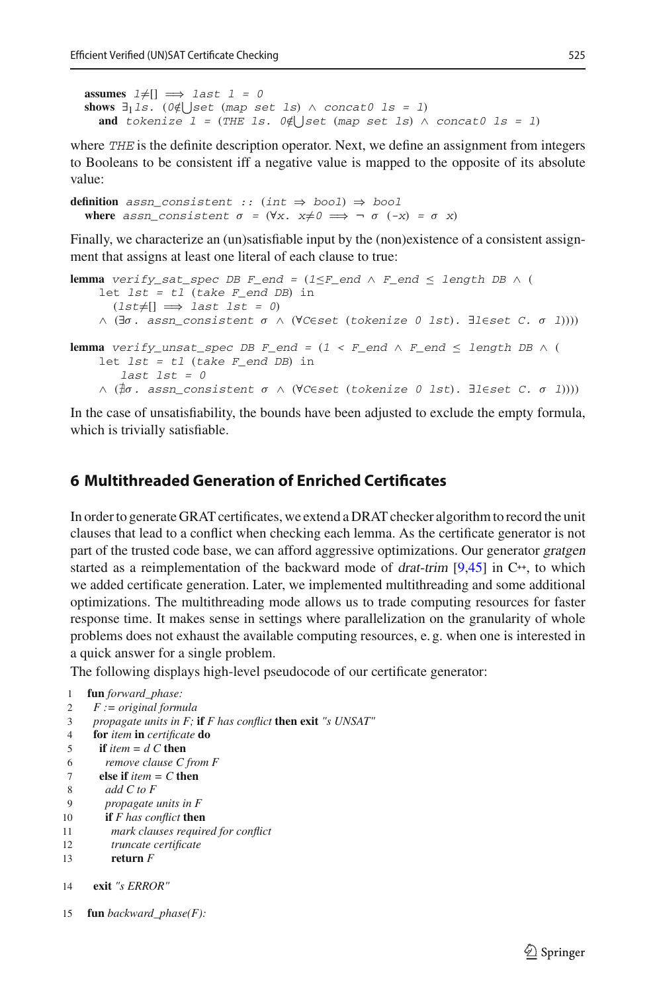```
assumes 1 \neq 0 \implies last 1 = 0shows \exists<sub>1</sub>ls. (0∉∪set (map set ls) ∧ concat0 ls = 1)
  and tokenize l = (THE 1s. 0 \notin \cup \set{Set (map set 1s)} \land concat0 1s = 1)
```
where THE is the definite description operator. Next, we define an assignment from integers to Booleans to be consistent iff a negative value is mapped to the opposite of its absolute value:

```
definition assn consistent :: (int \Rightarrow bool) \Rightarrow bool
   where assn_consistent \sigma = (\forall x. x \neq 0 \implies \neg \sigma (-x) = \sigma x)
```
Finally, we characterize an (un)satisfiable input by the (non)existence of a consistent assignment that assigns at least one literal of each clause to true:

```
lemma verify_sat_spec DB F_end = (1 \leq F \leq \text{end} \land F \leq \text{end} \leq \text{length} \text{DB} \land (let 1st = t1 (take F\_end DB) in
       (lst \neq [] \implies last \; lst = 0)∧ (∃σ. assn_consistent σ ∧ (∀C∈set (tokenize 0 lst). ∃l∈set C. σ l))))
lemma verify_unsat_spec DB F_end = (1 < F_end \land F_end \leq length DB \land (
    let 1st = t1 (take F_{end} DB) in
        last 1st = 0∧ (∄σ. assn_consistent σ ∧ (∀C∈set (tokenize 0 lst). ∃l∈set C. σ l)))
```
In the case of unsatisfiability, the bounds have been adjusted to exclude the empty formula, which is trivially satisfiable.

# <span id="page-12-0"></span>**6 Multithreaded Generation of Enriched Certificates**

In order to generate GRAT certificates, we extend a DRAT checker algorithm to record the unit clauses that lead to a conflict when checking each lemma. As the certificate generator is not part of the trusted code base, we can afford aggressive optimizations. Our generator gratgen started as a reimplementation of the backward mode of drat-trim [\[9](#page-18-0)[,45\]](#page-19-5) in C**++**, to which we added certificate generation. Later, we implemented multithreading and some additional optimizations. The multithreading mode allows us to trade computing resources for faster response time. It makes sense in settings where parallelization on the granularity of whole problems does not exhaust the available computing resources, e. g. when one is interested in a quick answer for a single problem.

The following displays high-level pseudocode of our certificate generator:

```
1 fun forward_phase:
```

```
2 F := original formula
```

```
3 propagate units in F; if F has conflict then exit "s UNSAT"
```

```
4 for item in certificate do
```

```
5 if item = d C then
```

```
6 remove clause C from F
```

```
7 else if item = C then
```

```
8 add C to F
```
9 *propagate units in F*

```
10 if F has conflict then
11 mark clauses required for conflict
```
- <span id="page-12-8"></span>12 *truncate certificate*
- 13 **return** *F*

```
14 exit "s ERROR"
```
15 **fun** *backward\_phase(F):*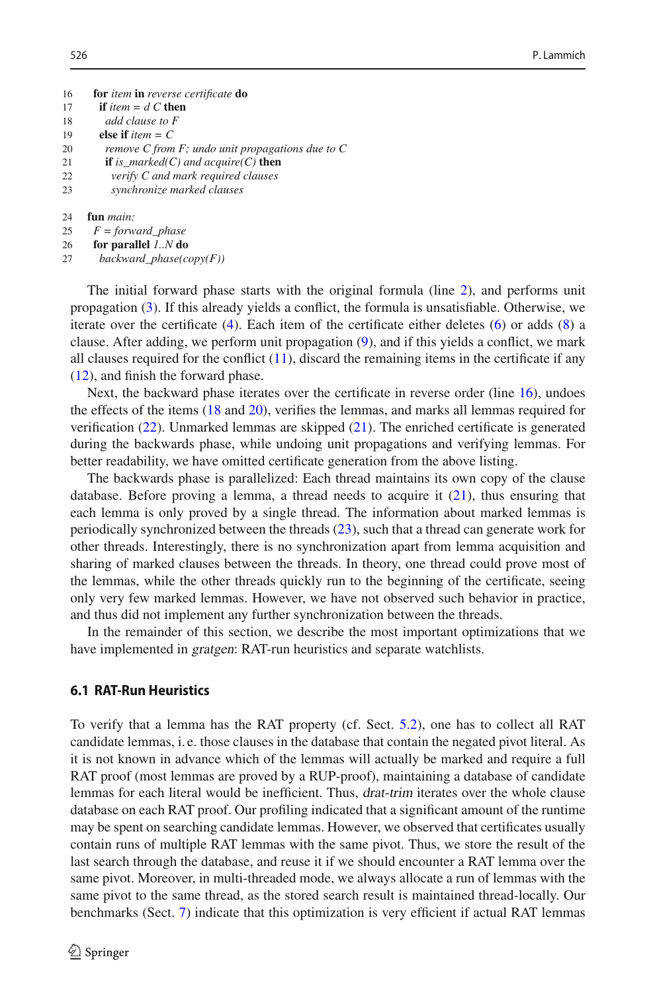<span id="page-13-4"></span><span id="page-13-2"></span><span id="page-13-1"></span><span id="page-13-0"></span>

| 16 | <b>for</b> item <b>in</b> reverse certificate <b>do</b>   |
|----|-----------------------------------------------------------|
| 17 | <b>if</b> <i>item</i> = $d$ C <b>then</b>                 |
| 18 | add clause to F                                           |
| 19 | else if <i>item</i> = $C$                                 |
| 20 | remove C from $F$ ; undo unit propagations due to C       |
| 21 | <b>if</b> is marked( $C$ ) and acquire( $C$ ) <b>then</b> |
| 22 | verify C and mark required clauses                        |
| 23 | synchronize marked clauses                                |

<span id="page-13-5"></span><span id="page-13-3"></span>24 **fun** *main*:<br>25  $F = 6$  *m* 

25 *F = forward\_phase*

26 **for parallel** *1..N* **do**

27 *backward\_phase(copy(F))*

The initial forward phase starts with the original formula (line [2\)](#page-12-1), and performs unit propagation [\(3\)](#page-12-2). If this already yields a conflict, the formula is unsatisfiable. Otherwise, we iterate over the certificate [\(4\)](#page-12-3). Each item of the certificate either deletes [\(6\)](#page-12-4) or adds [\(8\)](#page-12-5) a clause. After adding, we perform unit propagation [\(9\)](#page-12-6), and if this yields a conflict, we mark all clauses required for the conflict  $(11)$ , discard the remaining items in the certificate if any [\(12\)](#page-12-8), and finish the forward phase.

Next, the backward phase iterates over the certificate in reverse order (line [16\)](#page-13-0), undoes the effects of the items [\(18](#page-13-1) and [20\)](#page-13-2), verifies the lemmas, and marks all lemmas required for verification [\(22\)](#page-13-3). Unmarked lemmas are skipped [\(21\)](#page-13-4). The enriched certificate is generated during the backwards phase, while undoing unit propagations and verifying lemmas. For better readability, we have omitted certificate generation from the above listing.

The backwards phase is parallelized: Each thread maintains its own copy of the clause database. Before proving a lemma, a thread needs to acquire it  $(21)$ , thus ensuring that each lemma is only proved by a single thread. The information about marked lemmas is periodically synchronized between the threads [\(23\)](#page-13-5), such that a thread can generate work for other threads. Interestingly, there is no synchronization apart from lemma acquisition and sharing of marked clauses between the threads. In theory, one thread could prove most of the lemmas, while the other threads quickly run to the beginning of the certificate, seeing only very few marked lemmas. However, we have not observed such behavior in practice, and thus did not implement any further synchronization between the threads.

In the remainder of this section, we describe the most important optimizations that we have implemented in gratgen: RAT-run heuristics and separate watchlists.

#### **6.1 RAT-Run Heuristics**

To verify that a lemma has the RAT property (cf. Sect. [5.2\)](#page-7-0), one has to collect all RAT candidate lemmas, i. e. those clauses in the database that contain the negated pivot literal. As it is not known in advance which of the lemmas will actually be marked and require a full RAT proof (most lemmas are proved by a RUP-proof), maintaining a database of candidate lemmas for each literal would be inefficient. Thus, drat-trim iterates over the whole clause database on each RAT proof. Our profiling indicated that a significant amount of the runtime may be spent on searching candidate lemmas. However, we observed that certificates usually contain runs of multiple RAT lemmas with the same pivot. Thus, we store the result of the last search through the database, and reuse it if we should encounter a RAT lemma over the same pivot. Moreover, in multi-threaded mode, we always allocate a run of lemmas with the same pivot to the same thread, as the stored search result is maintained thread-locally. Our benchmarks (Sect. [7\)](#page-14-0) indicate that this optimization is very efficient if actual RAT lemmas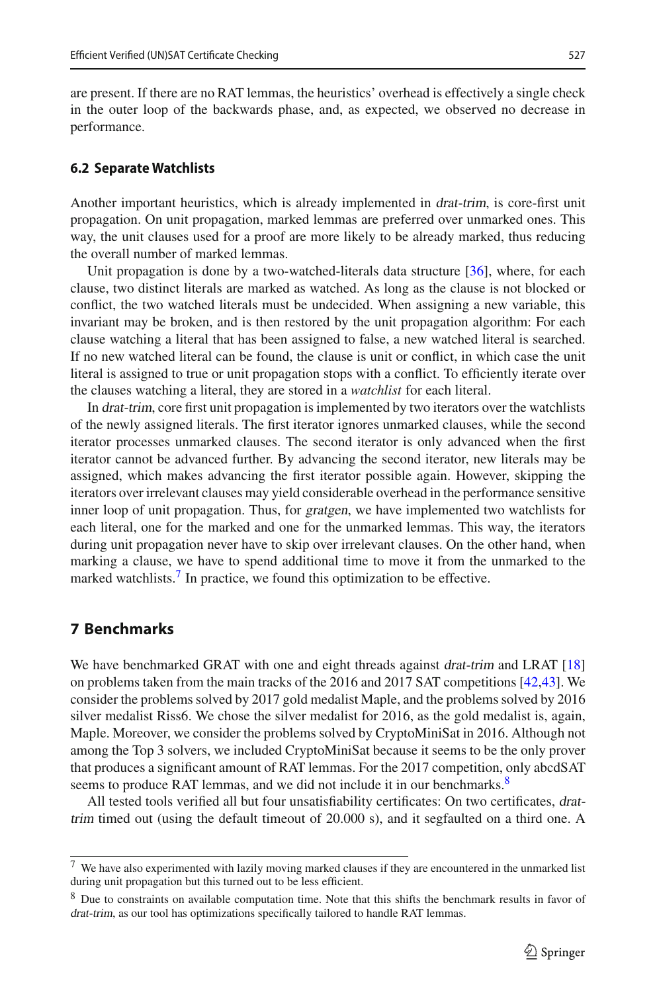are present. If there are no RAT lemmas, the heuristics' overhead is effectively a single check in the outer loop of the backwards phase, and, as expected, we observed no decrease in performance.

#### **6.2 Separate Watchlists**

Another important heuristics, which is already implemented in drat-trim, is core-first unit propagation. On unit propagation, marked lemmas are preferred over unmarked ones. This way, the unit clauses used for a proof are more likely to be already marked, thus reducing the overall number of marked lemmas.

Unit propagation is done by a two-watched-literals data structure [\[36\]](#page-19-7), where, for each clause, two distinct literals are marked as watched. As long as the clause is not blocked or conflict, the two watched literals must be undecided. When assigning a new variable, this invariant may be broken, and is then restored by the unit propagation algorithm: For each clause watching a literal that has been assigned to false, a new watched literal is searched. If no new watched literal can be found, the clause is unit or conflict, in which case the unit literal is assigned to true or unit propagation stops with a conflict. To efficiently iterate over the clauses watching a literal, they are stored in a *watchlist* for each literal.

In drat-trim, core first unit propagation is implemented by two iterators over the watchlists of the newly assigned literals. The first iterator ignores unmarked clauses, while the second iterator processes unmarked clauses. The second iterator is only advanced when the first iterator cannot be advanced further. By advancing the second iterator, new literals may be assigned, which makes advancing the first iterator possible again. However, skipping the iterators over irrelevant clauses may yield considerable overhead in the performance sensitive inner loop of unit propagation. Thus, for gratgen, we have implemented two watchlists for each literal, one for the marked and one for the unmarked lemmas. This way, the iterators during unit propagation never have to skip over irrelevant clauses. On the other hand, when marking a clause, we have to spend additional time to move it from the unmarked to the marked watchlists.<sup>7</sup> In practice, we found this optimization to be effective.

### <span id="page-14-0"></span>**7 Benchmarks**

We have benchmarked GRAT with one and eight threads against drat-trim and LRAT [\[18\]](#page-18-7) on problems taken from the main tracks of the 2016 and 2017 SAT competitions [\[42](#page-19-12)[,43](#page-19-13)]. We consider the problems solved by 2017 gold medalist Maple, and the problems solved by 2016 silver medalist Riss6. We chose the silver medalist for 2016, as the gold medalist is, again, Maple. Moreover, we consider the problems solved by CryptoMiniSat in 2016. Although not among the Top 3 solvers, we included CryptoMiniSat because it seems to be the only prover that produces a significant amount of RAT lemmas. For the 2017 competition, only abcdSAT seems to produce RAT lemmas, and we did not include it in our benchmarks.<sup>[8](#page-14-2)</sup>

All tested tools verified all but four unsatisfiability certificates: On two certificates, drattrim timed out (using the default timeout of 20.000 s), and it segfaulted on a third one. A

<span id="page-14-1"></span> $7\text{ We have also experimental with lazily moving marked clauses if they are encountered in the unmarked list.}$ during unit propagation but this turned out to be less efficient.

<span id="page-14-2"></span><sup>&</sup>lt;sup>8</sup> Due to constraints on available computation time. Note that this shifts the benchmark results in favor of drat-trim, as our tool has optimizations specifically tailored to handle RAT lemmas.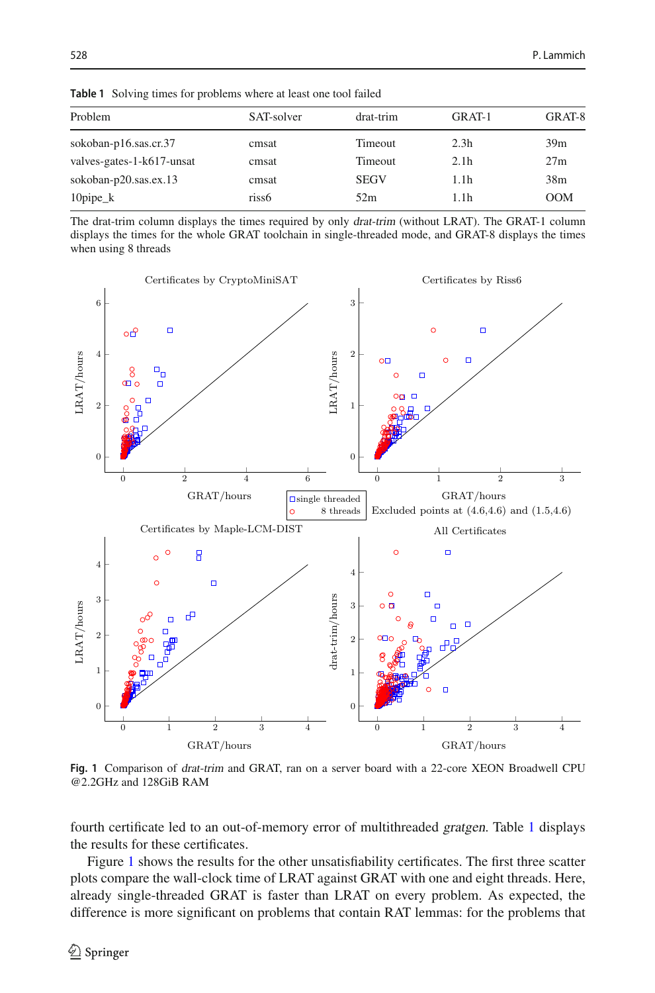| <b>Table 1</b> Borthing three for problems where at reast one tool failed |            |             |                  |                 |  |  |
|---------------------------------------------------------------------------|------------|-------------|------------------|-----------------|--|--|
| Problem                                                                   | SAT-solver | drat-trim   | GRAT-1           | GRAT-8          |  |  |
| sokoban-p16.sas.cr.37                                                     | cmsat      | Timeout     | 2.3 <sub>h</sub> | 39 <sub>m</sub> |  |  |
| valves-gates-1-k617-unsat                                                 | cmsat      | Timeout     | 2.1 <sub>h</sub> | 27m             |  |  |
| sokoban-p20.sas.ex.13                                                     | cmsat      | <b>SEGV</b> | 1.1h             | 38 <sub>m</sub> |  |  |
| $10$ pipe $_k$                                                            | riss6      | 52m         | 1.1h             | OM              |  |  |

<span id="page-15-0"></span>**Table 1** Solving times for problems where at least one tool failed

The drat-trim column displays the times required by only drat-trim (without LRAT). The GRAT-1 column displays the times for the whole GRAT toolchain in single-threaded mode, and GRAT-8 displays the times when using 8 threads



<span id="page-15-1"></span>**Fig. 1** Comparison of drat-trim and GRAT, ran on a server board with a 22-core XEON Broadwell CPU @2.2GHz and 128GiB RAM

fourth certificate led to an out-of-memory error of multithreaded gratgen. Table [1](#page-15-0) displays the results for these certificates.

Figure [1](#page-15-1) shows the results for the other unsatisfiability certificates. The first three scatter plots compare the wall-clock time of LRAT against GRAT with one and eight threads. Here, already single-threaded GRAT is faster than LRAT on every problem. As expected, the difference is more significant on problems that contain RAT lemmas: for the problems that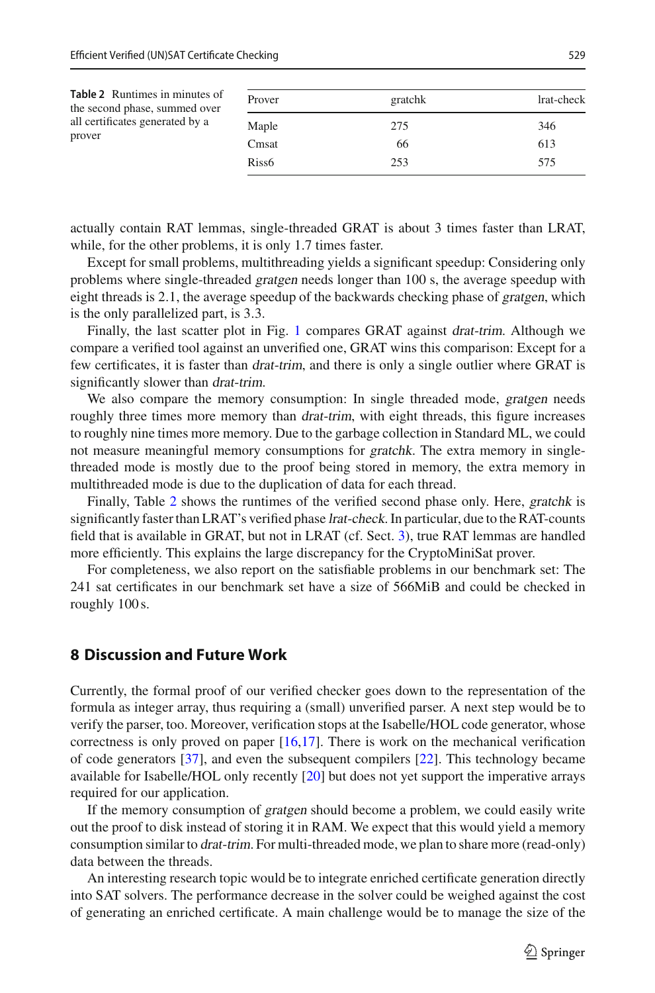<span id="page-16-1"></span>

| <b>Table 2</b> Runtimes in minutes of<br>the second phase, summed over<br>all certificates generated by a<br>prover | Prover            | gratchk | lrat-check |
|---------------------------------------------------------------------------------------------------------------------|-------------------|---------|------------|
|                                                                                                                     | Maple             | 275     | 346        |
|                                                                                                                     | Cmsat             | 66      | 613        |
|                                                                                                                     | Riss <sub>6</sub> | 253     | 575        |

actually contain RAT lemmas, single-threaded GRAT is about 3 times faster than LRAT, while, for the other problems, it is only 1.7 times faster.

Except for small problems, multithreading yields a significant speedup: Considering only problems where single-threaded gratgen needs longer than 100 s, the average speedup with eight threads is 2.1, the average speedup of the backwards checking phase of gratgen, which is the only parallelized part, is 3.3.

Finally, the last scatter plot in Fig. [1](#page-15-1) compares GRAT against drat-trim. Although we compare a verified tool against an unverified one, GRAT wins this comparison: Except for a few certificates, it is faster than drat-trim, and there is only a single outlier where GRAT is significantly slower than *drat-trim*.

We also compare the memory consumption: In single threaded mode, gratgen needs roughly three times more memory than *drat-trim*, with eight threads, this figure increases to roughly nine times more memory. Due to the garbage collection in Standard ML, we could not measure meaningful memory consumptions for gratchk. The extra memory in singlethreaded mode is mostly due to the proof being stored in memory, the extra memory in multithreaded mode is due to the duplication of data for each thread.

Finally, Table [2](#page-16-1) shows the runtimes of the verified second phase only. Here, gratchk is significantly faster than LRAT's verified phase lrat-check. In particular, due to the RAT-counts field that is available in GRAT, but not in LRAT (cf. Sect. [3\)](#page-3-0), true RAT lemmas are handled more efficiently. This explains the large discrepancy for the CryptoMiniSat prover.

For completeness, we also report on the satisfiable problems in our benchmark set: The 241 sat certificates in our benchmark set have a size of 566MiB and could be checked in roughly 100 s.

### <span id="page-16-0"></span>**8 Discussion and Future Work**

Currently, the formal proof of our verified checker goes down to the representation of the formula as integer array, thus requiring a (small) unverified parser. A next step would be to verify the parser, too. Moreover, verification stops at the Isabelle/HOL code generator, whose correctness is only proved on paper  $[16,17]$  $[16,17]$ . There is work on the mechanical verification of code generators [\[37\]](#page-19-14), and even the subsequent compilers [\[22](#page-18-27)]. This technology became available for Isabelle/HOL only recently [\[20](#page-18-28)] but does not yet support the imperative arrays required for our application.

If the memory consumption of gratgen should become a problem, we could easily write out the proof to disk instead of storing it in RAM. We expect that this would yield a memory consumption similar to drat-trim. For multi-threaded mode, we plan to share more (read-only) data between the threads.

An interesting research topic would be to integrate enriched certificate generation directly into SAT solvers. The performance decrease in the solver could be weighed against the cost of generating an enriched certificate. A main challenge would be to manage the size of the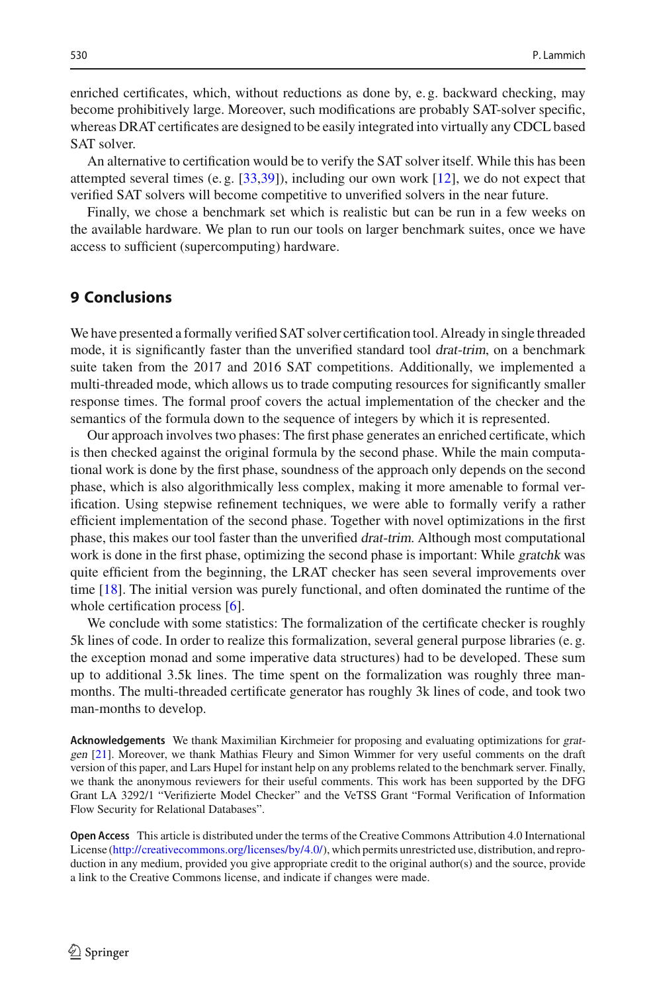enriched certificates, which, without reductions as done by, e. g. backward checking, may become prohibitively large. Moreover, such modifications are probably SAT-solver specific, whereas DRAT certificates are designed to be easily integrated into virtually any CDCL based SAT solver.

An alternative to certification would be to verify the SAT solver itself. While this has been attempted several times (e. g. [\[33](#page-19-15)[,39\]](#page-19-16)), including our own work [\[12\]](#page-18-29), we do not expect that verified SAT solvers will become competitive to unverified solvers in the near future.

Finally, we chose a benchmark set which is realistic but can be run in a few weeks on the available hardware. We plan to run our tools on larger benchmark suites, once we have access to sufficient (supercomputing) hardware.

### <span id="page-17-0"></span>**9 Conclusions**

We have presented a formally verified SAT solver certification tool. Already in single threaded mode, it is significantly faster than the unverified standard tool drat-trim, on a benchmark suite taken from the 2017 and 2016 SAT competitions. Additionally, we implemented a multi-threaded mode, which allows us to trade computing resources for significantly smaller response times. The formal proof covers the actual implementation of the checker and the semantics of the formula down to the sequence of integers by which it is represented.

Our approach involves two phases: The first phase generates an enriched certificate, which is then checked against the original formula by the second phase. While the main computational work is done by the first phase, soundness of the approach only depends on the second phase, which is also algorithmically less complex, making it more amenable to formal verification. Using stepwise refinement techniques, we were able to formally verify a rather efficient implementation of the second phase. Together with novel optimizations in the first phase, this makes our tool faster than the unverified drat-trim. Although most computational work is done in the first phase, optimizing the second phase is important: While gratchk was quite efficient from the beginning, the LRAT checker has seen several improvements over time [\[18](#page-18-7)]. The initial version was purely functional, and often dominated the runtime of the whole certification process [\[6\]](#page-18-6).

We conclude with some statistics: The formalization of the certificate checker is roughly 5k lines of code. In order to realize this formalization, several general purpose libraries (e. g. the exception monad and some imperative data structures) had to be developed. These sum up to additional 3.5k lines. The time spent on the formalization was roughly three manmonths. The multi-threaded certificate generator has roughly 3k lines of code, and took two man-months to develop.

**Acknowledgements** We thank Maximilian Kirchmeier for proposing and evaluating optimizations for gratgen [\[21](#page-18-30)]. Moreover, we thank Mathias Fleury and Simon Wimmer for very useful comments on the draft version of this paper, and Lars Hupel for instant help on any problems related to the benchmark server. Finally, we thank the anonymous reviewers for their useful comments. This work has been supported by the DFG Grant LA 3292/1 "Verifizierte Model Checker" and the VeTSS Grant "Formal Verification of Information Flow Security for Relational Databases".

**Open Access** This article is distributed under the terms of the Creative Commons Attribution 4.0 International License [\(http://creativecommons.org/licenses/by/4.0/\)](http://creativecommons.org/licenses/by/4.0/), which permits unrestricted use, distribution, and reproduction in any medium, provided you give appropriate credit to the original author(s) and the source, provide a link to the Creative Commons license, and indicate if changes were made.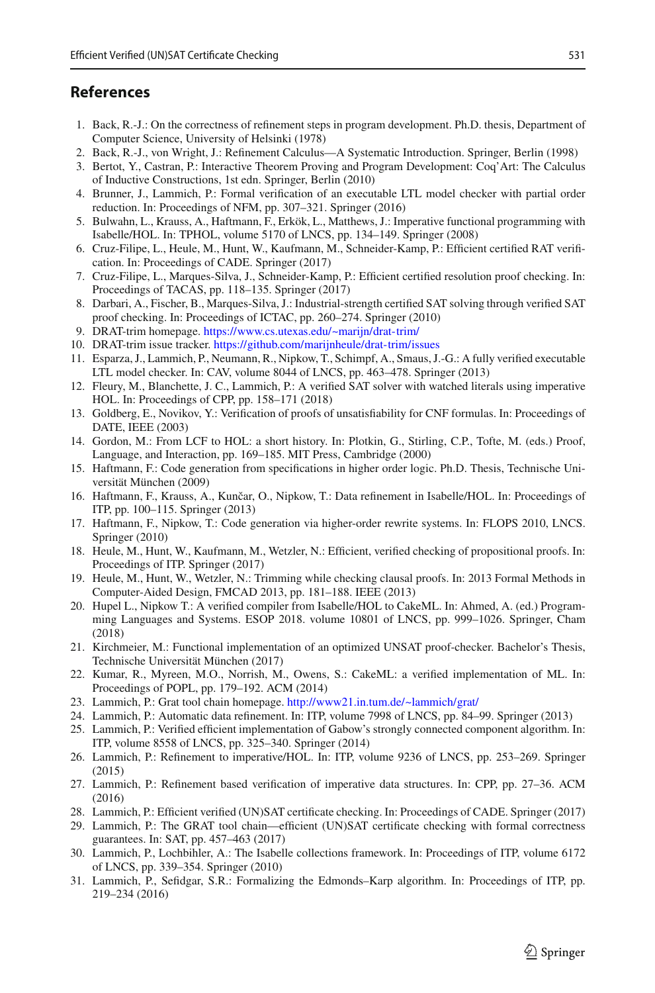# **References**

- <span id="page-18-16"></span>1. Back, R.-J.: On the correctness of refinement steps in program development. Ph.D. thesis, Department of Computer Science, University of Helsinki (1978)
- <span id="page-18-17"></span>2. Back, R.-J., von Wright, J.: Refinement Calculus—A Systematic Introduction. Springer, Berlin (1998)
- <span id="page-18-3"></span>3. Bertot, Y., Castran, P.: Interactive Theorem Proving and Program Development: Coq'Art: The Calculus of Inductive Constructions, 1st edn. Springer, Berlin (2010)
- <span id="page-18-24"></span>4. Brunner, J., Lammich, P.: Formal verification of an executable LTL model checker with partial order reduction. In: Proceedings of NFM, pp. 307–321. Springer (2016)
- <span id="page-18-15"></span>5. Bulwahn, L., Krauss, A., Haftmann, F., Erkök, L., Matthews, J.: Imperative functional programming with Isabelle/HOL. In: TPHOL, volume 5170 of LNCS, pp. 134–149. Springer (2008)
- <span id="page-18-6"></span>6. Cruz-Filipe, L., Heule, M., Hunt, W., Kaufmann, M., Schneider-Kamp, P.: Efficient certified RAT verification. In: Proceedings of CADE. Springer (2017)
- <span id="page-18-5"></span>7. Cruz-Filipe, L., Marques-Silva, J., Schneider-Kamp, P.: Efficient certified resolution proof checking. In: Proceedings of TACAS, pp. 118–135. Springer (2017)
- <span id="page-18-4"></span>8. Darbari, A., Fischer, B., Marques-Silva, J.: Industrial-strength certified SAT solving through verified SAT proof checking. In: Proceedings of ICTAC, pp. 260–274. Springer (2010)
- <span id="page-18-0"></span>9. DRAT-trim homepage. <https://www.cs.utexas.edu/~marijn/drat-trim/>
- <span id="page-18-1"></span>10. DRAT-trim issue tracker. <https://github.com/marijnheule/drat-trim/issues>
- <span id="page-18-25"></span>11. Esparza, J., Lammich, P., Neumann, R., Nipkow, T., Schimpf, A., Smaus, J.-G.: A fully verified executable LTL model checker. In: CAV, volume 8044 of LNCS, pp. 463–478. Springer (2013)
- <span id="page-18-29"></span>12. Fleury, M., Blanchette, J. C., Lammich, P.: A verified SAT solver with watched literals using imperative HOL. In: Proceedings of CPP, pp. 158–171 (2018)
- <span id="page-18-12"></span>13. Goldberg, E., Novikov, Y.: Verification of proofs of unsatisfiability for CNF formulas. In: Proceedings of DATE, IEEE (2003)
- <span id="page-18-2"></span>14. Gordon, M.: From LCF to HOL: a short history. In: Plotkin, G., Stirling, C.P., Tofte, M. (eds.) Proof, Language, and Interaction, pp. 169–185. MIT Press, Cambridge (2000)
- <span id="page-18-13"></span>15. Haftmann, F.: Code generation from specifications in higher order logic. Ph.D. Thesis, Technische Universität München (2009)
- <span id="page-18-26"></span>16. Haftmann, F., Krauss, A., Kunˇcar, O., Nipkow, T.: Data refinement in Isabelle/HOL. In: Proceedings of ITP, pp. 100–115. Springer (2013)
- <span id="page-18-14"></span>17. Haftmann, F., Nipkow, T.: Code generation via higher-order rewrite systems. In: FLOPS 2010, LNCS. Springer (2010)
- <span id="page-18-7"></span>18. Heule, M., Hunt, W., Kaufmann, M., Wetzler, N.: Efficient, verified checking of propositional proofs. In: Proceedings of ITP. Springer (2017)
- <span id="page-18-11"></span>19. Heule, M., Hunt, W., Wetzler, N.: Trimming while checking clausal proofs. In: 2013 Formal Methods in Computer-Aided Design, FMCAD 2013, pp. 181–188. IEEE (2013)
- <span id="page-18-28"></span>20. Hupel L., Nipkow T.: A verified compiler from Isabelle/HOL to CakeML. In: Ahmed, A. (ed.) Programming Languages and Systems. ESOP 2018. volume 10801 of LNCS, pp. 999–1026. Springer, Cham (2018)
- <span id="page-18-30"></span>21. Kirchmeier, M.: Functional implementation of an optimized UNSAT proof-checker. Bachelor's Thesis, Technische Universität München (2017)
- <span id="page-18-27"></span>22. Kumar, R., Myreen, M.O., Norrish, M., Owens, S.: CakeML: a verified implementation of ML. In: Proceedings of POPL, pp. 179–192. ACM (2014)
- <span id="page-18-10"></span>23. Lammich, P.: Grat tool chain homepage. <http://www21.in.tum.de/~lammich/grat/>
- <span id="page-18-18"></span>24. Lammich, P.: Automatic data refinement. In: ITP, volume 7998 of LNCS, pp. 84–99. Springer (2013)
- <span id="page-18-22"></span>25. Lammich, P.: Verified efficient implementation of Gabow's strongly connected component algorithm. In: ITP, volume 8558 of LNCS, pp. 325–340. Springer (2014)
- <span id="page-18-19"></span>26. Lammich, P.: Refinement to imperative/HOL. In: ITP, volume 9236 of LNCS, pp. 253–269. Springer (2015)
- <span id="page-18-20"></span>27. Lammich, P.: Refinement based verification of imperative data structures. In: CPP, pp. 27–36. ACM (2016)
- <span id="page-18-8"></span>28. Lammich, P.: Efficient verified (UN)SAT certificate checking. In: Proceedings of CADE. Springer (2017)
- <span id="page-18-9"></span>29. Lammich, P.: The GRAT tool chain—efficient (UN)SAT certificate checking with formal correctness guarantees. In: SAT, pp. 457–463 (2017)
- <span id="page-18-21"></span>30. Lammich, P., Lochbihler, A.: The Isabelle collections framework. In: Proceedings of ITP, volume 6172 of LNCS, pp. 339–354. Springer (2010)
- <span id="page-18-23"></span>31. Lammich, P., Sefidgar, S.R.: Formalizing the Edmonds–Karp algorithm. In: Proceedings of ITP, pp. 219–234 (2016)